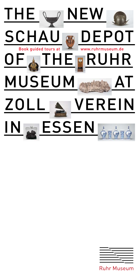



**Ruhr Museum**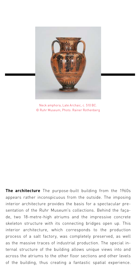

Neck amphora, Late Archaic, c. 510 BC. © Ruhr Museum; Photo: Rainer Rothenberg

**The architecture** The purpose-built building from the 1960s appears rather inconspicuous from the outside. The imposing interior architecture provides the basis for a spectacular presentation of the Ruhr Museum's collections. Behind the façade, two 18-metre-high atriums and the impressive concrete skeleton structure with its connecting bridges open up. This interior architecture, which corresponds to the production process of a salt factory, was completely preserved, as well as the massive traces of industrial production. The special internal structure of the building allows unique views into and across the atriums to the other floor sections and other levels of the building, thus creating a fantastic spatial experience.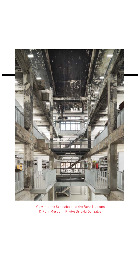

 View into the Schaudepot of the Ruhr Museum © Ruhr Museum; Photo: Brigida González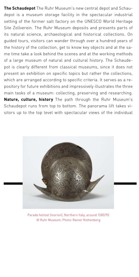**The Schaudepot** The Ruhr Museum's new central depot and Schaudepot is a museum storage facility in the spectacular industrial setting of the former salt factory on the UNESCO World Heritage Site Zollverein. The Ruhr Museum deposits and presents parts of its natural science, archaeological and historical collections. On guided tours, visitors can wander through over a hundred years of the history of the collection, get to know key objects and at the same time take a look behind the scenes and at the working methods of a large museum of natural and cultural history. The Schaudepot is clearly different from classical museums, since it does not present an exhibition on specific topics but rather the collections, which are arranged according to specific criteria. It serves as a repository for future exhibitions and impressively illustrates the three main tasks of a museum: collecting, preserving and researching. **Nature, culture, history** The path through the Ruhr Museum's Schaudepot runs from top to bottom. The panorama lift takes visitors up to the top level with spectacular views of the individual



Parade helmet (morion), Northern Italy, around 1580/90 © Ruhr Museum; Photo: Rainer Rothenberg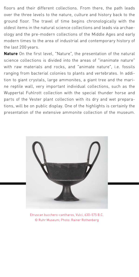floors and their different collections. From there, the path leads over the three levels to the nature, culture and history back to the ground floor. The travel of time begins chronologically with the oldest items in the natural science collections and leads via archaeology and the pre-modern collections of the Middle Ages and early modern times to the area of industrial and contemporary history of the last 200 years.

**Nature** On the first level, "Nature", the presentation of the natural science collections is divided into the areas of "inanimate nature" with raw materials and rocks, and "animate nature", i.e. fossils ranging from bacterial colonies to plants and vertebrates. In addition to giant crystals, large ammonites, a giant tree and the marine reptile wall, very important individual collections, such as the Wuppertal Fuhlrott collection with the special thunder horse and parts of the Vester plant collection with its dry and wet preparations, will be on public display. One of the highlights is certainly the presentation of the extensive ammonite collection of the museum.



Etruscan bucchero-cantharos, Vulci, 630–575 B.C. © Ruhr Museum; Photo: Rainer Rothenberg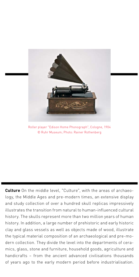

Roller player "Edison Home Phonograph", Cologne, 1904 © Ruhr Museum; Photo: Rainer Rothenberg

**Culture** On the middle level, "Culture", with the areas of archaeology, the Middle Ages and pre-modern times, an extensive display and study collection of over a hundred skull replicas impressively illustrates the transition from natural to human-influenced cultural history. The skulls represent more than two million years of human history. In addition, a large number of prehistoric and early historic clay and glass vessels as well as objects made of wood, illustrate the typical material composition of an archaeological and pre-modern collection. They divide the level into the departments of ceramics, glass, stone and furniture, household goods, agriculture and handicrafts – from the ancient advanced civilisations thousands of years ago to the early modern period before industrialisation.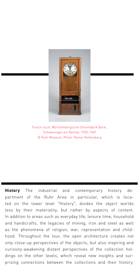

Punch clock, Württembergische Uhrenfabrik Bürk, Schwennigen am Neckar, 1950–1969 © Ruhr Museum; Photo: Rainer Rothenberg

**History** The industrial and contemporary history department of the Ruhr Area in particular, which is located on the lower level "History", divides the object worlds less by their materiality, but rather by aspects of content. In addition to areas such as everyday life, leisure time, household and handicrafts, the legacies of mining, iron and steel as well as the phenomena of religion, war, representation and childhood. Throughout the tour, the open architecture creates not only close-up perspectives of the objects, but also inspiring and curiosity-awakening distant perspectives of the collection holdings on the other levels, which reveal new insights and surprising connections between the collections and their history.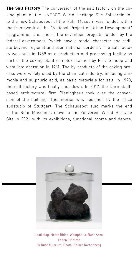**The Salt Factory** The conversion of the salt factory on the coking plant of the UNESCO World Heritage Site Zollverein into the new Schaudepot of the Ruhr Museum was funded within the framework of the "National Project of Urban Development" programme. It is one of the seventeen projects funded by the federal government, "which have a model character and radiate beyond regional and even national borders". The salt factory was built in 1959 as a production and processing facility as part of the coking plant complex planned by Fritz Schupp and went into operation in 1961. The by-products of the coking process were widely used by the chemical industry, including ammonia and sulphuric acid, as basic materials for salt. In 1993, the salt factory was finally shut down. In 2017, the Darmstadtbased architectural firm Planinghaus took over the conversion of the building. The interior was designed by the office südstudio of Stuttgart. The Schaudepot also marks the end of the Ruhr Museum's move to the Zollverein World Heritage Site in 2021 with its exhibitions, functional rooms and depots.



Lead slag, North Rhine-Westphalia, Ruhr Area, Essen-Frintrop © Ruhr Museum; Photo: Rainer Rothenberg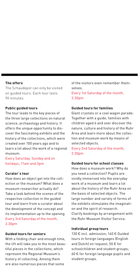#### **The offers**

The Schaudepot can only be visited on guided tours. Each tour lasts 90 minutes.

## **Public guided tours**

The tour leads to the key pieces of the three large collections on natural science, archaeology and history. It offers the unique opportunity to discover the fascinating exhibits and the history of the collections, which were created over 100 years ago and to learn a lot about the work of a regional museum.

## Every Saturday, Sunday and on holidays, 11am and 3pm

### **Curator`s tour**

How does an object get into the collection or the museum? What does a museum researcher actually do? Take a look behind the scenes of the respective collection in the guided tour and learn from a curator about the development of the concept and its implementation up to the opening. Every 3rd Saturday of the month, 3.30pm

### **Guided tours for seniors**

With a folding chair and enough time, the lift will take you to the most beautiful pieces in the collections, which represent the Regional Museum's history of collecting. Among them are also numerous pieces that some

of the visitors even remember themselves.

Every 1st Saturday of the month, 3.30pm

#### **Guided tours for families**

Giant crystals or a coal wagon parade: Together with a guide, families with children aged 6 and over discover the nature, culture and history of the Ruhr Area and learn more about the collection and museum work by means of selected objects.

Every 2nd Saturday of the month, 3.30pm

#### **Guided tours for school classes**

How does a museum work? Why do you need a collection? Pupils are vividly immersed into the everyday work of a museum and learn a lot about the history of the Ruhr Area on the basis of selected objects. The large number and variety of forms of the exhibits stimulates the imagination and the spirit of research. Clarify bookings by arrangement with the Ruhr Museum Visitor Service.

#### **Individual group tours**

130 € incl. admission; 140 € Guided tours in foreign languages (English and Dutch) on request; 50 € for schoolchildren and student groups; 60 € for foreign language pupils and student groups.